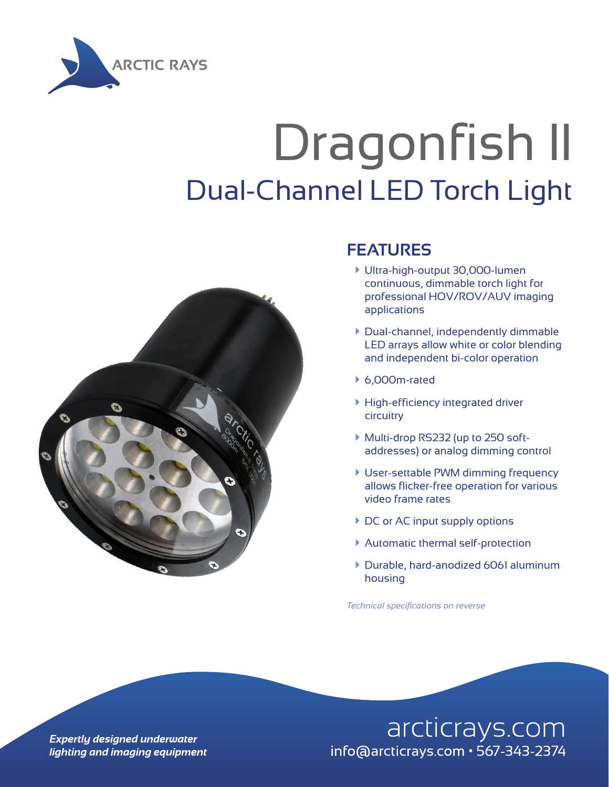

# Dragonfish II Dual-Channel LED Torch Light



### **FEATURES**

- à Ultra-high-output 30,000-lumen continuous, dimmable torch light for professional HOV/ROV/AUV imaging applications
- à Dual-channel, independently dimmable LED arrays allow white or color blending and independent bi-color operation
- $6,000$ m-rated
- $\blacktriangleright$  High-efficiency integrated driver circuitry
- ▶ Multi-drop RS232 (up to 250 softaddresses) or analog dimming control
- **User-settable PWM dimming frequency** allows flicker-free operation for various video frame rates
- ▶ DC or AC input supply options
- **Automatic thermal self-protection**
- à Durable, hard-anodized 6061 aluminum housing

*Technical specifications on reverse*

**Expertly designed underwater** lighting and imaging equipment

### arcticrays.com info@arcticrays.com · 567-343-2374